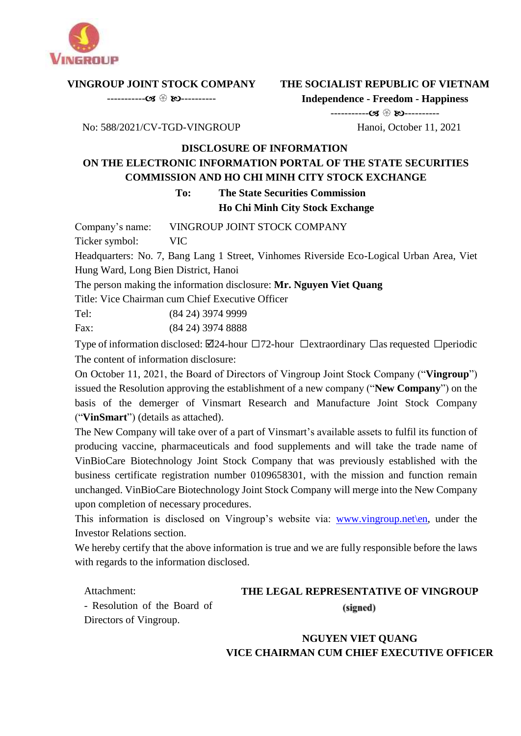

### **VINGROUP JOINT STOCK COMPANY**

----------- ----------

## **THE SOCIALIST REPUBLIC OF VIETNAM Independence - Freedom - Happiness**

No: 588/2021/CV-TGD-VINGROUP

----------- ---------- Hanoi, October 11, 2021

## **DISCLOSURE OF INFORMATION ON THE ELECTRONIC INFORMATION PORTAL OF THE STATE SECURITIES COMMISSION AND HO CHI MINH CITY STOCK EXCHANGE**

**To: The State Securities Commission Ho Chi Minh City Stock Exchange**

Company's name: VINGROUP JOINT STOCK COMPANY

Ticker symbol: VIC

Headquarters: No. 7, Bang Lang 1 Street, Vinhomes Riverside Eco-Logical Urban Area, Viet Hung Ward, Long Bien District, Hanoi

The person making the information disclosure: **Mr. Nguyen Viet Quang**

Title: Vice Chairman cum Chief Executive Officer

Tel: (84 24) 3974 9999

Fax: (84 24) 3974 8888

Type of information disclosed: ⊠24-hour □72-hour □extraordinary □as requested □periodic The content of information disclosure:

On October 11, 2021, the Board of Directors of Vingroup Joint Stock Company ("**Vingroup**") issued the Resolution approving the establishment of a new company ("**New Company**") on the basis of the demerger of Vinsmart Research and Manufacture Joint Stock Company ("**VinSmart**") (details as attached).

The New Company will take over of a part of Vinsmart's available assets to fulfil its function of producing vaccine, pharmaceuticals and food supplements and will take the trade name of VinBioCare Biotechnology Joint Stock Company that was previously established with the business certificate registration number 0109658301, with the mission and function remain unchanged. VinBioCare Biotechnology Joint Stock Company will merge into the New Company upon completion of necessary procedures.

This information is disclosed on Vingroup's website via: [www.vingroup.net\](http://www.vingroup.net/)en, under the Investor Relations section.

We hereby certify that the above information is true and we are fully responsible before the laws with regards to the information disclosed.

Attachment:

# **THE LEGAL REPRESENTATIVE OF VINGROUP** (signed)

- Resolution of the Board of Directors of Vingroup.

> **NGUYEN VIET QUANG VICE CHAIRMAN CUM CHIEF EXECUTIVE OFFICER**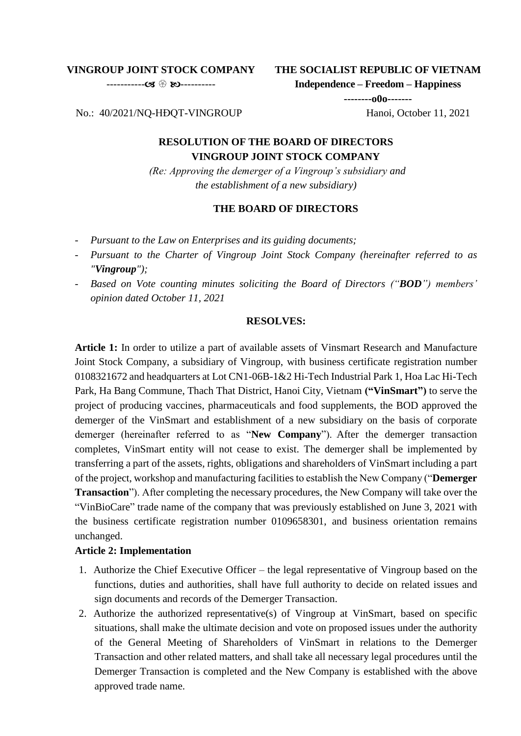#### **VINGROUP JOINT STOCK COMPANY**

----------- ----------

**THE SOCIALIST REPUBLIC OF VIETNAM**

**Independence – Freedom – Happiness**

**--------o0o-------**

# **RESOLUTION OF THE BOARD OF DIRECTORS VINGROUP JOINT STOCK COMPANY**

*(Re: Approving the demerger of a Vingroup's subsidiary and the establishment of a new subsidiary)*

#### **THE BOARD OF DIRECTORS**

- *Pursuant to the Law on Enterprises and its guiding documents;*
- *Pursuant to the Charter of Vingroup Joint Stock Company (hereinafter referred to as "Vingroup");*
- *Based on Vote counting minutes soliciting the Board of Directors ("BOD") members' opinion dated October 11, 2021*

#### **RESOLVES:**

**Article 1:** In order to utilize a part of available assets of Vinsmart Research and Manufacture Joint Stock Company, a subsidiary of Vingroup, with business certificate registration number 0108321672 and headquarters at Lot CN1-06B-1&2 Hi-Tech Industrial Park 1, Hoa Lac Hi-Tech Park, Ha Bang Commune, Thach That District, Hanoi City, Vietnam **("VinSmart")** to serve the project of producing vaccines, pharmaceuticals and food supplements, the BOD approved the demerger of the VinSmart and establishment of a new subsidiary on the basis of corporate demerger (hereinafter referred to as "New Company"). After the demerger transaction completes, VinSmart entity will not cease to exist. The demerger shall be implemented by transferring a part of the assets, rights, obligations and shareholders of VinSmart including a part of the project, workshop and manufacturing facilities to establish the New Company ("**Demerger Transaction**"). After completing the necessary procedures, the New Company will take over the "VinBioCare" trade name of the company that was previously established on June 3, 2021 with the business certificate registration number 0109658301, and business orientation remains unchanged.

#### **Article 2: Implementation**

- 1. Authorize the Chief Executive Officer the legal representative of Vingroup based on the functions, duties and authorities, shall have full authority to decide on related issues and sign documents and records of the Demerger Transaction.
- 2. Authorize the authorized representative(s) of Vingroup at VinSmart, based on specific situations, shall make the ultimate decision and vote on proposed issues under the authority of the General Meeting of Shareholders of VinSmart in relations to the Demerger Transaction and other related matters, and shall take all necessary legal procedures until the Demerger Transaction is completed and the New Company is established with the above approved trade name.

No.: 40/2021/NQ-HĐQT-VINGROUP Hanoi, October 11, 2021